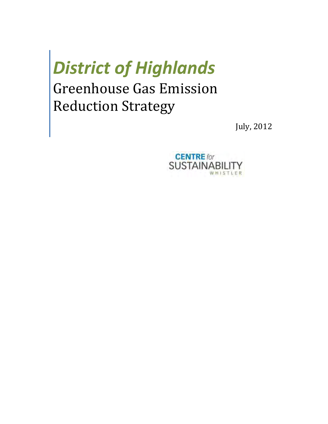# *District of Highlands*

## Greenhouse Gas Emission Reduction Strategy

July, 2012

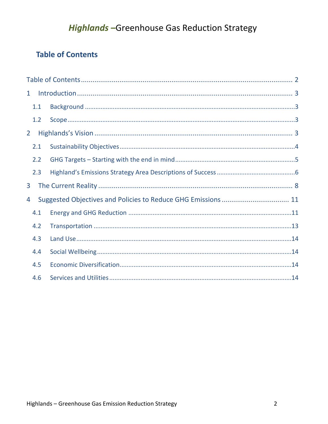## **Highlands-Greenhouse Gas Reduction Strategy**

## <span id="page-1-0"></span>**Table of Contents**

| $\mathbf{1}$   |     |  |  |  |
|----------------|-----|--|--|--|
|                | 1.1 |  |  |  |
|                | 1.2 |  |  |  |
| 2 <sup>1</sup> |     |  |  |  |
|                | 2.1 |  |  |  |
|                | 2.2 |  |  |  |
|                | 2.3 |  |  |  |
| 3              |     |  |  |  |
| 4              |     |  |  |  |
|                | 4.1 |  |  |  |
|                | 4.2 |  |  |  |
|                | 4.3 |  |  |  |
|                | 4.4 |  |  |  |
|                | 4.5 |  |  |  |
|                | 4.6 |  |  |  |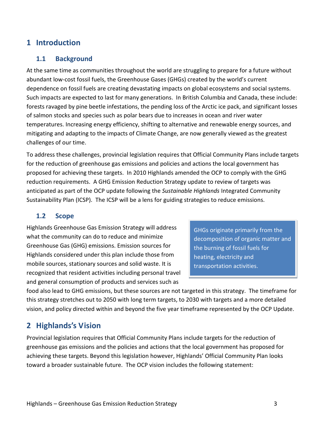## <span id="page-2-0"></span>**1 Introduction**

#### <span id="page-2-1"></span>**1.1 Background**

At the same time as communities throughout the world are struggling to prepare for a future without abundant low-cost fossil fuels, the Greenhouse Gases (GHGs) created by the world's current dependence on fossil fuels are creating devastating impacts on global ecosystems and social systems. Such impacts are expected to last for many generations. In British Columbia and Canada, these include: forests ravaged by pine beetle infestations, the pending loss of the Arctic ice pack, and significant losses of salmon stocks and species such as polar bears due to increases in ocean and river water temperatures. Increasing energy efficiency, shifting to alternative and renewable energy sources, and mitigating and adapting to the impacts of Climate Change, are now generally viewed as the greatest challenges of our time.

To address these challenges, provincial legislation requires that Official Community Plans include targets for the reduction of greenhouse gas emissions and policies and actions the local government has proposed for achieving these targets. In 2010 Highlands amended the OCP to comply with the GHG reduction requirements. A GHG Emission Reduction Strategy update to review of targets was anticipated as part of the OCP update following the *Sustainable Highlands* Integrated Community Sustainability Plan (ICSP). The ICSP will be a lens for guiding strategies to reduce emissions.

## <span id="page-2-2"></span>**1.2 Scope**

Highlands Greenhouse Gas Emission Strategy will address what the community can do to reduce and minimize Greenhouse Gas (GHG) emissions. Emission sources for Highlands considered under this plan include those from mobile sources, stationary sources and solid waste. It is recognized that resident activities including personal travel and general consumption of products and services such as

GHGs originate primarily from the decomposition of organic matter and the burning of fossil fuels for heating, electricity and transportation activities.

food also lead to GHG emissions, but these sources are not targeted in this strategy. The timeframe for this strategy stretches out to 2050 with long term targets, to 2030 with targets and a more detailed vision, and policy directed within and beyond the five year timeframe represented by the OCP Update.

## <span id="page-2-3"></span>**2 Highlands's Vision**

Provincial legislation requires that Official Community Plans include targets for the reduction of greenhouse gas emissions and the policies and actions that the local government has proposed for achieving these targets. Beyond this legislation however, Highlands' Official Community Plan looks toward a broader sustainable future. The OCP vision includes the following statement: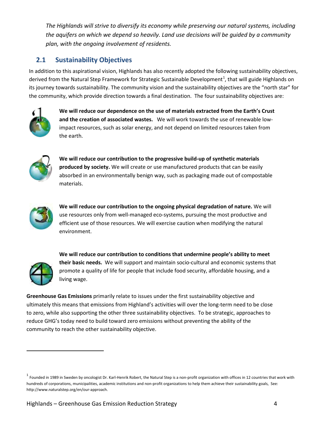*The Highlands will strive to diversify its economy while preserving our natural systems, including the aquifers on which we depend so heavily. Land use decisions will be guided by a community plan, with the ongoing involvement of residents.* 

## <span id="page-3-0"></span>**2.1 Sustainability Objectives**

In addition to this aspirational vision, Highlands has also recently adopted the following sustainability objectives, derived from the Natural Step Framework for Strategic Sustainable Development<sup>[1](#page-3-1)</sup>, that will guide Highlands on its journey towards sustainability. The community vision and the sustainability objectives are the "north star" for the community, which provide direction towards a final destination. The four sustainability objectives are:



**We will reduce our dependence on the use of materials extracted from the Earth's Crust and the creation of associated wastes.** We will work towards the use of renewable lowimpact resources, such as solar energy, and not depend on limited resources taken from the earth.



**We will reduce our contribution to the progressive build-up of synthetic materials produced by society.** We will create or use manufactured products that can be easily absorbed in an environmentally benign way, such as packaging made out of compostable materials.



**We will reduce our contribution to the ongoing physical degradation of nature.** We will use resources only from well-managed eco-systems, pursuing the most productive and efficient use of those resources. We will exercise caution when modifying the natural environment.



l

**We will reduce our contribution to conditions that undermine people's ability to meet their basic needs.** We will support and maintain socio-cultural and economic systems that promote a quality of life for people that include food security, affordable housing, and a living wage.

**Greenhouse Gas Emissions** primarily relate to issues under the first sustainability objective and ultimately this means that emissions from Highland's activities will over the long-term need to be close to zero, while also supporting the other three sustainability objectives. To be strategic, approaches to reduce GHG's today need to build toward zero emissions without preventing the ability of the community to reach the other sustainability objective.

<span id="page-3-1"></span> $^1$  Founded in 1989 in Sweden by oncologist Dr. Karl-Henrik Robert, the Natural Step is a non-profit organization with offices in 12 countries that work with hundreds of corporations, municipalities, academic institutions and non-profit organizations to help them achieve their sustainability goals, See: http://www.naturalstep.org/en/our-approach.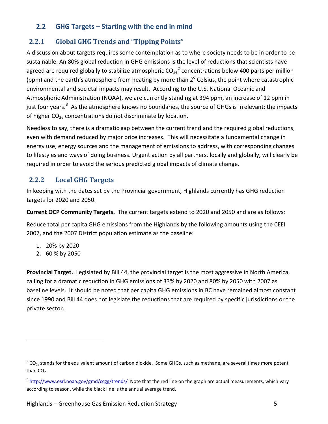## <span id="page-4-0"></span>**2.2 GHG Targets – Starting with the end in mind**

## **2.2.1 Global GHG Trends and "Tipping Points"**

A discussion about targets requires some contemplation as to where society needs to be in order to be sustainable. An 80% global reduction in GHG emissions is the level of reductions that scientists have agreed are required globally to stabilize atmospheric CO<sub>[2](#page-4-1)e</sub><sup>2</sup> concentrations below 400 parts per million (ppm) and the earth's atmosphere from heating by more than  $2^{\circ}$  Celsius, the point where catastrophic environmental and societal impacts may result. According to the U.S. National Oceanic and Atmospheric Administration (NOAA), we are currently standing at 394 ppm, an increase of 12 ppm in just four years.<sup>[3](#page-4-2)</sup> As the atmosphere knows no boundaries, the source of GHGs is irrelevant: the impacts of higher CO<sub>2e</sub> concentrations do not discriminate by location.

Needless to say, there is a dramatic gap between the current trend and the required global reductions, even with demand reduced by major price increases. This will necessitate a fundamental change in energy use, energy sources and the management of emissions to address, with corresponding changes to lifestyles and ways of doing business. Urgent action by all partners, locally and globally, will clearly be required in order to avoid the serious predicted global impacts of climate change.

## **2.2.2 Local GHG Targets**

In keeping with the dates set by the Provincial government, Highlands currently has GHG reduction targets for 2020 and 2050.

**Current OCP Community Targets.** The current targets extend to 2020 and 2050 and are as follows:

Reduce total per capita GHG emissions from the Highlands by the following amounts using the CEEI 2007, and the 2007 District population estimate as the baseline:

- 1. 20% by 2020
- 2. 60 % by 2050

l

**Provincial Target.** Legislated by Bill 44, the provincial target is the most aggressive in North America, calling for a dramatic reduction in GHG emissions of 33% by 2020 and 80% by 2050 with 2007 as baseline levels. It should be noted that per capita GHG emissions in BC have remained almost constant since 1990 and Bill 44 does not legislate the reductions that are required by specific jurisdictions or the private sector.

<span id="page-4-1"></span> $2\text{CO}_{2e}$  stands for the equivalent amount of carbon dioxide. Some GHGs, such as methane, are several times more potent than CO<sub>2</sub>

<span id="page-4-2"></span><sup>&</sup>lt;sup>3</sup> <http://www.esrl.noaa.gov/gmd/ccgg/trends/>Note that the red line on the graph are actual measurements, which vary according to season, while the black line is the annual average trend.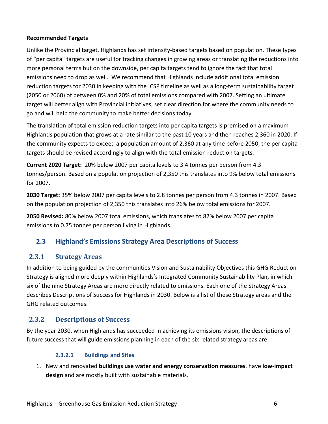#### **Recommended Targets**

Unlike the Provincial target, Highlands has set intensity-based targets based on population. These types of "per capita" targets are useful for tracking changes in growing areas or translating the reductions into more personal terms but on the downside, per capita targets tend to ignore the fact that total emissions need to drop as well. We recommend that Highlands include additional total emission reduction targets for 2030 in keeping with the ICSP timeline as well as a long-term sustainability target (2050 or 2060) of between 0% and 20% of total emissions compared with 2007. Setting an ultimate target will better align with Provincial initiatives, set clear direction for where the community needs to go and will help the community to make better decisions today.

The translation of total emission reduction targets into per capita targets is premised on a maximum Highlands population that grows at a rate similar to the past 10 years and then reaches 2,360 in 2020. If the community expects to exceed a population amount of 2,360 at any time before 2050, the per capita targets should be revised accordingly to align with the total emission reduction targets.

**Current 2020 Target:** 20% below 2007 per capita levels to 3.4 tonnes per person from 4.3 tonnes/person. Based on a population projection of 2,350 this translates into 9% below total emissions for 2007.

**2030 Target:** 35% below 2007 per capita levels to 2.8 tonnes per person from 4.3 tonnes in 2007. Based on the population projection of 2,350 this translates into 26% below total emissions for 2007.

**2050 Revised:** 80% below 2007 total emissions, which translates to 82% below 2007 per capita emissions to 0.75 tonnes per person living in Highlands.

## <span id="page-5-0"></span>**2.3 Highland's Emissions Strategy Area Descriptions of Success**

## **2.3.1 Strategy Areas**

In addition to being guided by the communities Vision and Sustainability Objectives this GHG Reduction Strategy is aligned more deeply within Highlands's Integrated Community Sustainability Plan, in which six of the nine Strategy Areas are more directly related to emissions. Each one of the Strategy Areas describes Descriptions of Success for Highlands in 2030. Below is a list of these Strategy areas and the GHG related outcomes.

## **2.3.2 Descriptions of Success**

By the year 2030, when Highlands has succeeded in achieving its emissions vision, the descriptions of future success that will guide emissions planning in each of the six related strategy areas are:

## **2.3.2.1 Buildings and Sites**

1. New and renovated **buildings use water and energy conservation measures**, have **low-impact design** and are mostly built with sustainable materials.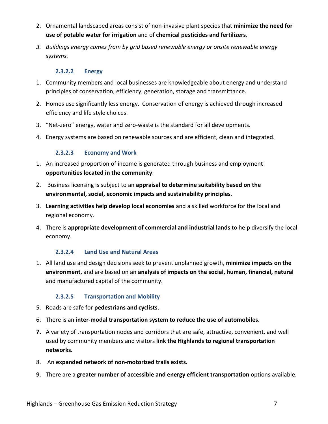- 2. Ornamental landscaped areas consist of non-invasive plant species that **minimize the need for use of potable water for irrigation** and of **chemical pesticides and fertilizers**.
- *3. Buildings energy comes from by grid based renewable energy or onsite renewable energy systems.*

#### **2.3.2.2 Energy**

- 1. Community members and local businesses are knowledgeable about energy and understand principles of conservation, efficiency, generation, storage and transmittance.
- 2. Homes use significantly less energy. Conservation of energy is achieved through increased efficiency and life style choices.
- 3. "Net-zero" energy, water and zero-waste is the standard for all developments.
- 4. Energy systems are based on renewable sources and are efficient, clean and integrated.

## **2.3.2.3 Economy and Work**

- 1. An increased proportion of income is generated through business and employment **opportunities located in the community**.
- 2. Business licensing is subject to an **appraisal to determine suitability based on the environmental, social, economic impacts and sustainability principles**.
- 3. **Learning activities help develop local economies** and a skilled workforce for the local and regional economy.
- 4. There is **appropriate development of commercial and industrial lands** to help diversify the local economy.

## **2.3.2.4 Land Use and Natural Areas**

1. All land use and design decisions seek to prevent unplanned growth, **minimize impacts on the environment**, and are based on an **analysis of impacts on the social, human, financial, natural** and manufactured capital of the community.

## **2.3.2.5 Transportation and Mobility**

- 5. Roads are safe for **pedestrians and cyclists**.
- 6. There is an **inter-modal transportation system to reduce the use of automobiles**.
- **7.** A variety of transportation nodes and corridors that are safe, attractive, convenient, and well used by community members and visitors **link the Highlands to regional transportation networks.**
- 8. An **expanded network of non-motorized trails exists.**
- 9. There are a **greater number of accessible and energy efficient transportation** options available.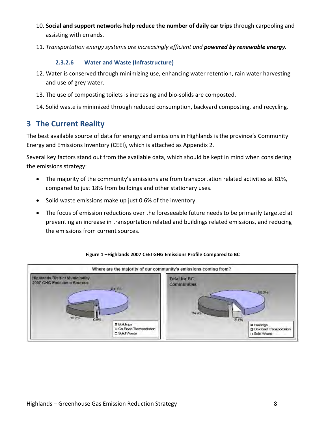- 10. **Social and support networks help reduce the number of daily car trips** through carpooling and assisting with errands.
- 11. *Transportation energy systems are increasingly efficient and powered by renewable energy.*

#### **2.3.2.6 Water and Waste (Infrastructure)**

- 12. Water is conserved through minimizing use, enhancing water retention, rain water harvesting and use of grey water.
- 13. The use of composting toilets is increasing and bio-solids are composted.
- 14. Solid waste is minimized through reduced consumption, backyard composting, and recycling.

## <span id="page-7-0"></span>**3 The Current Reality**

The best available source of data for energy and emissions in Highlands is the province's Community Energy and Emissions Inventory (CEEI), which is attached as Appendix 2.

Several key factors stand out from the available data, which should be kept in mind when considering the emissions strategy:

- The majority of the community's emissions are from transportation related activities at 81%, compared to just 18% from buildings and other stationary uses.
- Solid waste emissions make up just 0.6% of the inventory.
- The focus of emission reductions over the foreseeable future needs to be primarily targeted at preventing an increase in transportation related and buildings related emissions, and reducing the emissions from current sources.



#### **Figure 1 –Highlands 2007 CEEI GHG Emissions Profile Compared to BC**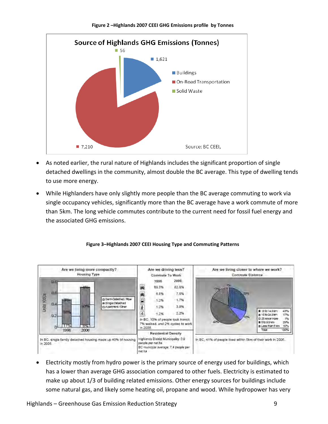

#### **Figure 2 –Highlands 2007 CEEI GHG Emissions profile by Tonnes**

As noted earlier, the rural nature of Highlands includes the significant proportion of single detached dwellings in the community, almost double the BC average. This type of dwelling tends to use more energy.

Source: BC CEEI,

• While Highlanders have only slightly more people than the BC average commuting to work via single occupancy vehicles, significantly more than the BC average have a work commute of more than 5km. The long vehicle commutes contribute to the current need for fossil fuel energy and the associated GHG emissions.





• Electricity mostly from hydro power is the primary source of energy used for buildings, which has a lower than average GHG association compared to other fuels. Electricity is estimated to make up about 1/3 of building related emissions. Other energy sources for buildings include some natural gas, and likely some heating oil, propane and wood. While hydropower has very

 $17,210$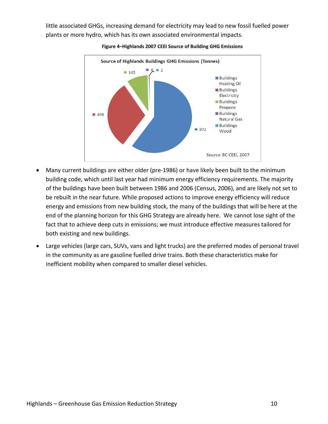little associated GHGs, increasing demand for electricity may lead to new fossil fuelled power plants or more hydro, which has its own associated environmental impacts.



#### **Figure 4–Highlands 2007 CEEI Source of Building GHG Emissions**

- Many current buildings are either older (pre-1986) or have likely been built to the minimum building code, which until last year had minimum energy efficiency requirements. The majority of the buildings have been built between 1986 and 2006 (Census, 2006), and are likely not set to be rebuilt in the near future. While proposed actions to improve energy efficiency will reduce energy and emissions from new building stock, the many of the buildings that will be here at the end of the planning horizon for this GHG Strategy are already here. We cannot lose sight of the fact that to achieve deep cuts in emissions; we must introduce effective measures tailored for both existing and new buildings.
- Large vehicles (large cars, SUVs, vans and light trucks) are the preferred modes of personal travel in the community as are gasoline fuelled drive trains. Both these characteristics make for inefficient mobility when compared to smaller diesel vehicles.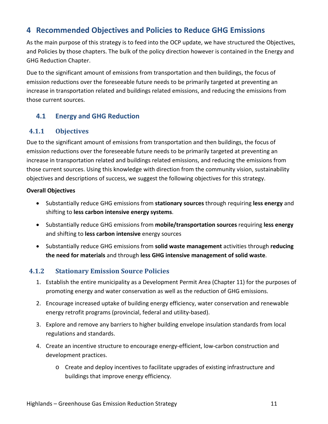## <span id="page-10-0"></span>**4 Recommended Objectives and Policies to Reduce GHG Emissions**

As the main purpose of this strategy is to feed into the OCP update, we have structured the Objectives, and Policies by those chapters. The bulk of the policy direction however is contained in the Energy and GHG Reduction Chapter.

Due to the significant amount of emissions from transportation and then buildings, the focus of emission reductions over the foreseeable future needs to be primarily targeted at preventing an increase in transportation related and buildings related emissions, and reducing the emissions from those current sources.

## <span id="page-10-1"></span>**4.1 Energy and GHG Reduction**

## **4.1.1 Objectives**

Due to the significant amount of emissions from transportation and then buildings, the focus of emission reductions over the foreseeable future needs to be primarily targeted at preventing an increase in transportation related and buildings related emissions, and reducing the emissions from those current sources. Using this knowledge with direction from the community vision, sustainability objectives and descriptions of success, we suggest the following objectives for this strategy.

#### **Overall Objectives**

- Substantially reduce GHG emissions from **stationary sources** through requiring **less energy** and shifting to **less carbon intensive energy systems**.
- Substantially reduce GHG emissions from **mobile/transportation sources** requiring **less energy** and shifting to **less carbon intensive** energy sources
- Substantially reduce GHG emissions from **solid waste management** activities through **reducing the need for materials** and through **less GHG intensive management of solid waste**.

## **4.1.2 Stationary Emission Source Policies**

- 1. Establish the entire municipality as a Development Permit Area (Chapter 11) for the purposes of promoting energy and water conservation as well as the reduction of GHG emissions.
- 2. Encourage increased uptake of building energy efficiency, water conservation and renewable energy retrofit programs (provincial, federal and utility-based).
- 3. Explore and remove any barriers to higher building envelope insulation standards from local regulations and standards.
- 4. Create an incentive structure to encourage energy-efficient, low-carbon construction and development practices.
	- o Create and deploy incentives to facilitate upgrades of existing infrastructure and buildings that improve energy efficiency.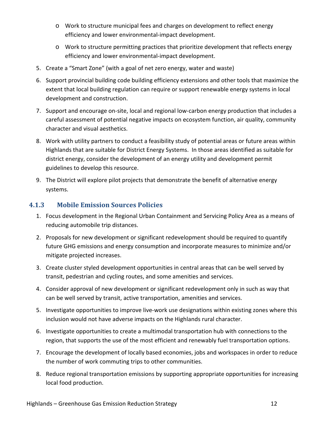- o Work to structure municipal fees and charges on development to reflect energy efficiency and lower environmental-impact development.
- o Work to structure permitting practices that prioritize development that reflects energy efficiency and lower environmental-impact development.
- 5. Create a "Smart Zone" (with a goal of net zero energy, water and waste)
- 6. Support provincial building code building efficiency extensions and other tools that maximize the extent that local building regulation can require or support renewable energy systems in local development and construction.
- 7. Support and encourage on-site, local and regional low-carbon energy production that includes a careful assessment of potential negative impacts on ecosystem function, air quality, community character and visual aesthetics.
- 8. Work with utility partners to conduct a feasibility study of potential areas or future areas within Highlands that are suitable for District Energy Systems. In those areas identified as suitable for district energy, consider the development of an energy utility and development permit guidelines to develop this resource.
- 9. The District will explore pilot projects that demonstrate the benefit of alternative energy systems.

## **4.1.3 Mobile Emission Sources Policies**

- 1. Focus development in the Regional Urban Containment and Servicing Policy Area as a means of reducing automobile trip distances.
- 2. Proposals for new development or significant redevelopment should be required to quantify future GHG emissions and energy consumption and incorporate measures to minimize and/or mitigate projected increases.
- 3. Create cluster styled development opportunities in central areas that can be well served by transit, pedestrian and cycling routes, and some amenities and services.
- 4. Consider approval of new development or significant redevelopment only in such as way that can be well served by transit, active transportation, amenities and services.
- 5. Investigate opportunities to improve live-work use designations within existing zones where this inclusion would not have adverse impacts on the Highlands rural character.
- 6. Investigate opportunities to create a multimodal transportation hub with connections to the region, that supports the use of the most efficient and renewably fuel transportation options.
- 7. Encourage the development of locally based economies, jobs and workspaces in order to reduce the number of work commuting trips to other communities.
- 8. Reduce regional transportation emissions by supporting appropriate opportunities for increasing local food production.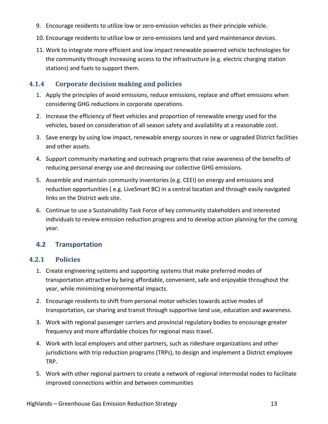- 9. Encourage residents to utilize low or zero-emission vehicles as their principle vehicle.
- 10. Encourage residents to utilize low or zero-emissions land and yard maintenance devices.
- 11. Work to integrate more efficient and low impact renewable powered vehicle technologies for the community through increasing access to the infrastructure (e.g. electric charging station stations) and fuels to support them.

## **4.1.4 Corporate decision making and policies**

- 1. Apply the principles of avoid emissions, reduce emissions, replace and offset emissions when considering GHG reductions in corporate operations.
- 2. Increase the efficiency of fleet vehicles and proportion of renewable energy used for the vehicles, based on consideration of all season safety and availability at a reasonable cost.
- 3. Save energy by using low impact, renewable energy sources in new or upgraded District facilities and other assets.
- 4. Support community marketing and outreach programs that raise awareness of the benefits of reducing personal energy use and decreasing our collective GHG emissions.
- 5. Assemble and maintain community inventories (e.g. CEEI) on energy and emissions and reduction opportunities ( e.g. LiveSmart BC) in a central location and through easily navigated links on the District web site.
- 6. Continue to use a Sustainability Task Force of key community stakeholders and interested individuals to review emission reduction progress and to develop action planning for the coming year.

## <span id="page-12-0"></span>**4.2 Transportation**

## **4.2.1 Policies**

- 1. Create engineering systems and supporting systems that make preferred modes of transportation attractive by being affordable, convenient, safe and enjoyable throughout the year, while minimizing environmental impacts.
- 2. Encourage residents to shift from personal motor vehicles towards active modes of transportation, car sharing and transit through supportive land use, education and awareness.
- 3. Work with regional passenger carriers and provincial regulatory bodies to encourage greater frequency and more affordable choices for regional mass travel.
- 4. Work with local employers and other partners, such as rideshare organizations and other jurisdictions with trip reduction programs (TRPs), to design and implement a District employee TRP.
- 5. Work with other regional partners to create a network of regional intermodal nodes to facilitate improved connections within and between communities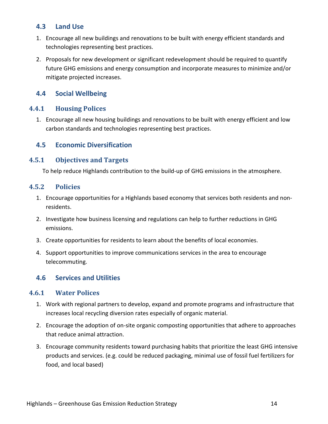## <span id="page-13-0"></span>**4.3 Land Use**

- 1. Encourage all new buildings and renovations to be built with energy efficient standards and technologies representing best practices.
- 2. Proposals for new development or significant redevelopment should be required to quantify future GHG emissions and energy consumption and incorporate measures to minimize and/or mitigate projected increases.

## <span id="page-13-1"></span>**4.4 Social Wellbeing**

## **4.4.1 Housing Polices**

1. Encourage all new housing buildings and renovations to be built with energy efficient and low carbon standards and technologies representing best practices.

## <span id="page-13-2"></span>**4.5 Economic Diversification**

#### **4.5.1 Objectives and Targets**

To help reduce Highlands contribution to the build-up of GHG emissions in the atmosphere.

#### **4.5.2 Policies**

- 1. Encourage opportunities for a Highlands based economy that services both residents and nonresidents.
- 2. Investigate how business licensing and regulations can help to further reductions in GHG emissions.
- 3. Create opportunities for residents to learn about the benefits of local economies.
- 4. Support opportunities to improve communications services in the area to encourage telecommuting.

## <span id="page-13-3"></span>**4.6 Services and Utilities**

#### **4.6.1 Water Polices**

- 1. Work with regional partners to develop, expand and promote programs and infrastructure that increases local recycling diversion rates especially of organic material.
- 2. Encourage the adoption of on-site organic composting opportunities that adhere to approaches that reduce animal attraction.
- 3. Encourage community residents toward purchasing habits that prioritize the least GHG intensive products and services. (e.g. could be reduced packaging, minimal use of fossil fuel fertilizers for food, and local based)